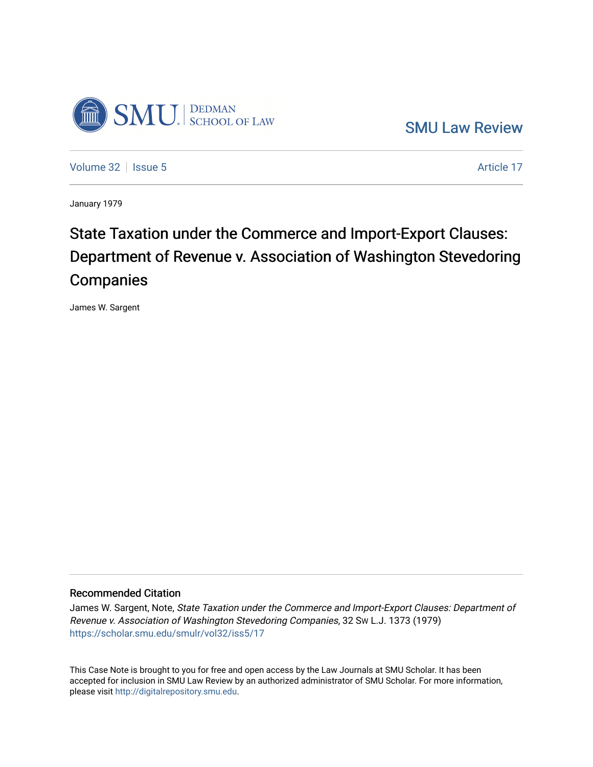

[SMU Law Review](https://scholar.smu.edu/smulr) 

[Volume 32](https://scholar.smu.edu/smulr/vol32) | [Issue 5](https://scholar.smu.edu/smulr/vol32/iss5) Article 17

January 1979

# State Taxation under the Commerce and Import-Export Clauses: Department of Revenue v. Association of Washington Stevedoring **Companies**

James W. Sargent

## Recommended Citation

James W. Sargent, Note, State Taxation under the Commerce and Import-Export Clauses: Department of Revenue v. Association of Washington Stevedoring Companies, 32 SW L.J. 1373 (1979) [https://scholar.smu.edu/smulr/vol32/iss5/17](https://scholar.smu.edu/smulr/vol32/iss5/17?utm_source=scholar.smu.edu%2Fsmulr%2Fvol32%2Fiss5%2F17&utm_medium=PDF&utm_campaign=PDFCoverPages)

This Case Note is brought to you for free and open access by the Law Journals at SMU Scholar. It has been accepted for inclusion in SMU Law Review by an authorized administrator of SMU Scholar. For more information, please visit [http://digitalrepository.smu.edu.](http://digitalrepository.smu.edu/)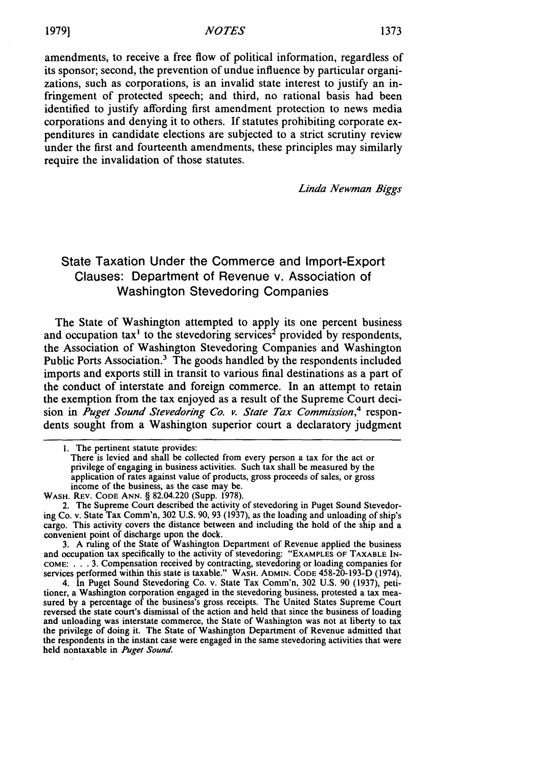amendments, to receive a free flow of political information, regardless of its sponsor; second, the prevention of undue influence by particular organizations, such as corporations, is an invalid state interest to justify an infringement of protected speech; and third, no rational basis had been identified to justify affording first amendment protection to news media corporations and denying it to others. If statutes prohibiting corporate expenditures in candidate elections are subjected to a strict scrutiny review under the first and fourteenth amendments, these principles may similarly require the invalidation of those statutes.

*Linda Newman Biggs*

## State Taxation Under the Commerce and Import-Export Clauses: Department of Revenue v. Association of Washington Stevedoring Companies

The State of Washington attempted to apply its one percent business and occupation tax<sup>1</sup> to the stevedoring services<sup>2</sup> provided by respondents, the Association of Washington Stevedoring Companies and Washington Public Ports Association.<sup>3</sup> The goods handled by the respondents included imports and exports still in transit to various final destinations as a part of the conduct of interstate and foreign commerce. In an attempt to retain the exemption from the tax enjoyed as a result of the Supreme Court decision in *Puget* Sound Stevedoring *Co. v. State Tax* Commission,*4* respondents sought from a Washington superior court a declaratory judgment

3. A ruling of the State of Washington Department of Revenue applied the business and occupation tax specifically to the activity of stevedoring: **"EXAMPLES** OF TAXABLE **IN-COME:** . . . 3. Compensation received by contracting, stevedoring or loading companies for services performed within this state is taxable." WASH. **ADMIN. CODE** 458-20-193-D (1974).

4. In Puget Sound Stevedoring Co. v. State Tax Comm'n, 302 U.S. 90 (1937), petitioner, a Washington corporation engaged in the stevedoring business, protested a tax measured by a percentage of the business's gross receipts. The United States Supreme Court reversed the state court's dismissal of the action and held that since the business of loading and unloading was interstate commerce, the State of Washington was not at liberty to tax the privilege of doing it. The State of Washington Department of Revenue admitted that the respondents in the instant case were engaged in the same stevedoring activities that were held nontaxable in *Puget Sound.*

<sup>1.</sup> The pertinent statute provides:<br>There is levied and shall be collected from every person a tax for the act or privilege of engaging in business activities. Such tax shall be measured by the application of rates against value of products, gross proceeds of sales, or gross income of the business, as the case may be.

WASH. REV. **CODE ANN.** § 82.04.220 (Supp. 1978).

<sup>2.</sup> The Supreme Court described the activity of stevedoring in Puget Sound Stevedoring Co. v. State Tax Comm'n, 302 U.S. 90, 93 (1937), as the loading and unloading of ship's cargo. This activity covers the distance between and including the hold of the ship and a convenient point of discharge upon the dock.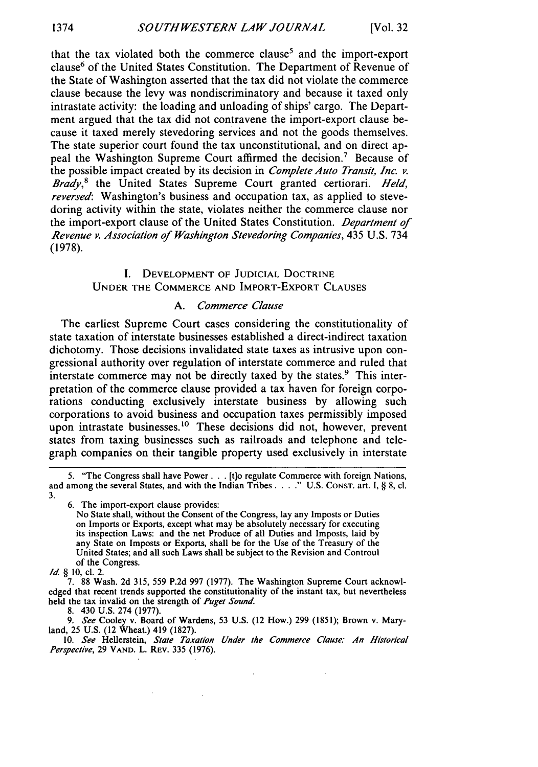that the tax violated both the commerce clause<sup>5</sup> and the import-export clause<sup>6</sup> of the United States Constitution. The Department of Revenue of the State of Washington asserted that the tax did not violate the commerce clause because the levy was nondiscriminatory and because it taxed only intrastate activity: the loading and unloading of ships' cargo. The Department argued that the tax did not contravene the import-export clause because it taxed merely stevedoring services and not the goods themselves. The state superior court found the tax unconstitutional, and on direct appeal the Washington Supreme Court affirmed the decision.<sup>7</sup> Because of the possible impact created by its decision in *Complete Auto Transit, Inc. v. Brady,8* the United States Supreme Court granted certiorari. *Held, reversed*: Washington's business and occupation tax, as applied to stevedoring activity within the state, violates neither the commerce clause nor the import-export clause of the United States Constitution. *Department of Revenue v. Association of Washington* Stevedoring *Companies,* 435 U.S. 734 (1978).

### I. DEVELOPMENT OF JUDICIAL DOCTRINE UNDER THE COMMERCE AND IMPORT-EXPORT CLAUSES

## *A.* Commerce Clause

The earliest Supreme Court cases considering the constitutionality of state taxation of interstate businesses established a direct-indirect taxation dichotomy. Those decisions invalidated state taxes as intrusive upon congressional authority over regulation of interstate commerce and ruled that interstate commerce may not be directly taxed by the states.<sup>9</sup> This interpretation of the commerce clause provided a tax haven for foreign corporations conducting exclusively interstate business by allowing such corporations to avoid business and occupation taxes permissibly imposed upon intrastate businesses.<sup>10</sup> These decisions did not, however, prevent states from taxing businesses such as railroads and telephone and telegraph companies on their tangible property used exclusively in interstate

6. The import-export clause provides:

No State shall, without the Consent of the Congress, lay any Imposts or Duties on Imports or Exports, except what may be absolutely necessary for executing its inspection Laws: and the net Produce of all Duties and Imposts, laid by any State on Imposts or Exports, shall be for the Use of the Treasury of the United States; and all such Laws shall be subject to the Revision and Controul of the Congress.

7. 88 Wash. 2d 315, 559 P.2d 997 (1977). The Washington Supreme Court acknowledged that recent trends supported the constitutionality of the instant tax, but nevertheless held the tax invalid on the strength of *Puget Sound.*

8. 430 U.S. 274 (1977).

*9. See* Cooley v. Board of Wardens, 53 U.S. (12 How.) 299 (1851); Brown v. Maryland, 25 U.S. (12 Wheat.) 419 (1827).

10. *See* Hellerstein, *State Taxation Under the Commerce Clause. An Historical Perspective,* 29 **VAND.** L. REV. 335 (1976).

<sup>5. &</sup>quot;The Congress shall have Power... [t]o regulate Commerce with foreign Nations, and among the several States, and with the Indian Tribes.  $\ldots$  " U.S. Const. art. I, § 8, cl. 3.

*Id* § 10, cl. 2.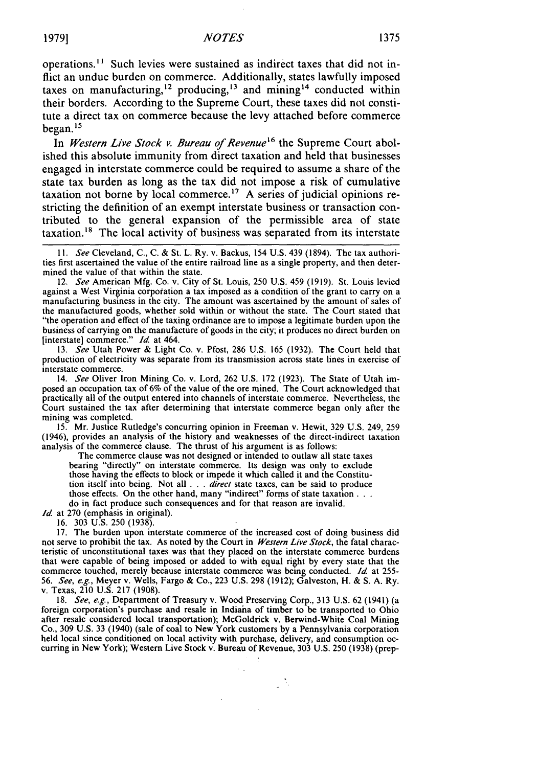## **1979]** *NOTES* **1375**

operations.<sup>11</sup> Such levies were sustained as indirect taxes that did not inflict an undue burden on commerce. Additionally, states lawfully imposed taxes on manufacturing,<sup>12</sup> producing,<sup>13</sup> and mining<sup>14</sup> conducted within their borders. According to the Supreme Court, these taxes did not constitute a direct tax on commerce because the levy attached before commerce began. *<sup>15</sup>*

In Western Live Stock *v. Bureau of Revenue*<sup>16</sup> the Supreme Court abolished this absolute immunity from direct taxation and held that businesses engaged in interstate commerce could be required to assume a share of the state tax burden as long as the tax did not impose a risk of cumulative taxation not borne by local commerce.<sup>17</sup> A series of judicial opinions restricting the definition of an exempt interstate business or transaction contributed to the general expansion of the permissible area of state taxation.<sup>18</sup> The local activity of business was separated from its interstate

*11.* See Cleveland, C., C. & St. L. Ry. v. Backus, 154 U.S. 439 (1894). The tax authorities first ascertained the value of the entire railroad line as a single property, and then determined the value of that within the state.

12. See American Mfg. Co. v. City of St. Louis, 250 U.S. 459 (1919). St. Louis levied against a West Virginia corporation a tax imposed as a condition of the grant to carry on a manufacturing business in the city. The amount was ascertained by the amount of sales of the manufactured goods, whether sold within or without the state. The Court stated that "the operation and effect of the taxing ordinance are to impose a legitimate burden upon the business of carrying on the manufacture of goods in the city; it produces no direct burden on linterstate] commerce." *Id.* at 464.

13. See Utah Power & Light Co. v. Pfost, 286 U.S. 165 (1932). The Court held that production of electricity was separate from its transmission across state lines in exercise of interstate commerce.

14. See Oliver Iron Mining Co. v. Lord, 262 U.S. 172 (1923). The State of Utah imposed an occupation tax of 6% of the value of the ore mined. The Court acknowledged that practically all of the output entered into channels of interstate commerce. Nevertheless, the Court sustained the tax after determining that interstate commerce began only after the mining was completed.

**15.** Mr. Justice Rutledge's concurring opinion in Freeman v. Hewit, 329 U.S. 249, 259 (1946), provides an analysis of the history and weaknesses of the direct-indirect taxation analysis of the commerce clause. The thrust of his argument is as follows:

The commerce clause was not designed or intended to outlaw all state taxes bearing "directly" on interstate commerce. Its design was only to exclude those having the effects to block or impede it which called it and the Constitution itself into being. Not all **. . .** direct state taxes, can be said to produce those effects. On the other hand, many "indirect" forms of state taxation . . .

do in fact produce such consequences and for that reason are invalid.

*Id.* at 270 (emphasis in original). 16. 303 U.S. 250 (1938).

17. The burden upon interstate commerce of the increased cost of doing business did not serve to prohibit the tax. As noted by the Court in *Western Live Stock,* the fatal characteristic of unconstitutional taxes was that they placed on the interstate commerce burdens that were capable of being imposed or added to with equal right by every state that the commerce touched, merely because interstate commerce was being conducted. *Id.* at 255- 56. *See, e.g.,* Meyer v. Wells, Fargo & Co., 223 U.S. 298 (1912); Galveston, H. & S. A. Ry. v. Texas, 210 U.S. 217 (1908).

18. *See, e.g.,* Department of Treasury v. Wood Preserving Corp., 313 U.S. 62 (1941) (a foreign corporation's purchase and resale in Indiaha of timber to be transported to Ohio after resale considered local transportation); McGoldrick v. Berwind-White Coal Mining Co., 309 U.S. 33 (1940) (sale of coal to New York customers by a Pennsylvania corporation held local since conditioned on local activity with purchase, delivery, and consumption occurring in New York); Western Live Stock v. Bureau of Revenue, 303 U.S. 250 (1938) (prep-

 $\frac{1}{2}$  .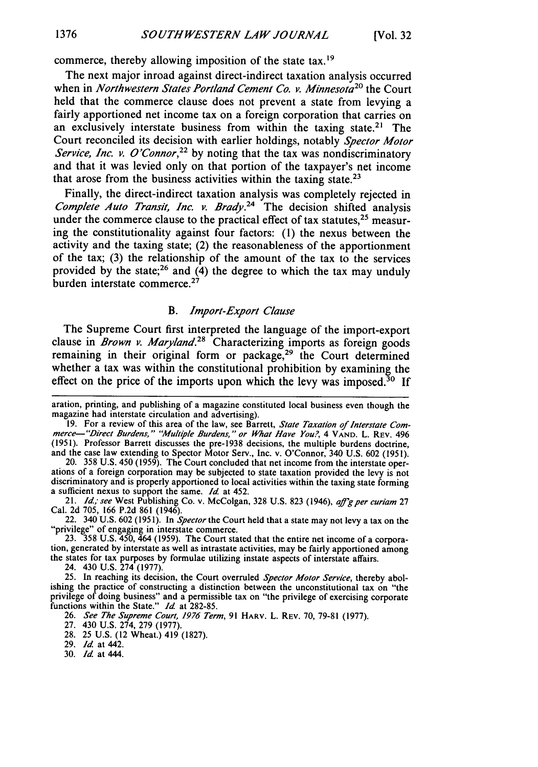commerce, thereby allowing imposition of the state tax.<sup>19</sup>

The next major inroad against direct-indirect taxation analysis occurred when in *Northwestern States Portland Cement Co. v. Minnesota<sup>20</sup> the Court* held that the commerce clause does not prevent a state from levying a fairly apportioned net income tax on a foreign corporation that carries on an exclusively interstate business from within the taxing state.<sup>21</sup> The Court reconciled its decision with earlier holdings, notably *Spector Motor Service, Inc. v. O'Connor*,<sup>22</sup> by noting that the tax was nondiscriminatory and that it was levied only on that portion of the taxpayer's net income that arose from the business activities within the taxing state.<sup>23</sup>

Finally, the direct-indirect taxation analysis was completely rejected in *Complete Auto Transit, Inc. v. Brady.24* The decision shifted analysis under the commerce clause to the practical effect of tax statutes,  $25$  measuring the constitutionality against four factors: (1) the nexus between the activity and the taxing state; (2) the reasonableness of the apportionment of the tax; (3) the relationship of the amount of the tax to the services provided by the state;<sup>26</sup> and  $(4)$  the degree to which the tax may unduly burden interstate commerce.<sup>27</sup>

#### *B. Import-Export Clause*

The Supreme Court first interpreted the language of the import-export clause in *Brown v. Maryland.28* Characterizing imports as foreign goods remaining in their original form or package,<sup>29</sup> the Court determined whether a tax was within the constitutional prohibition by examining the effect on the price of the imports upon which the levy was imposed.<sup>30</sup> If

20. 358 U.S. 450 (1959). The Court concluded that net income from the interstate operations of a foreign corporation may be subjected to state taxation provided the levy is not discriminatory and is properly apportioned to local activities within the taxing state forming a sufficient nexus to support the same. *Id* at 452.

21. *Id., see* West Publishing Co. v. McColgan, 328 U.S. 823 (1946), *a ffgper curiam* <sup>27</sup> Cal. 2d 705, 166 P.2d 861 (1946).

22.  $340$  U.S.  $602$  (1951). In *Spector* the Court held that a state may not levy a tax on the "privilege" of engaging in interstate commerce.<br>23.  $358$  U.S.  $450$ ,  $464$  (1959). The Court stated that the entire net inco

the states for tax purposes by formulae utilizing instate aspects of interstate affairs.

24. 430 U.S. 274 (1977).

25. In reaching its decision, the Court overruled *Spector Motor Service,* thereby abolishing the practice of constructing a distinction between the unconstitutional tax on "the privilege of doing business" and a permissible tax on "the privilege of exercising corporate functions within the State." *Id* at 282-85.

26. *See The Supreme Court, 1976 Term,* 91 HARV. L. REV. 70, 79-81 (1977).

27. 430 U.S. 274, 279 (1977).

28. 25 U.S. (12 Wheat.) 419 (1827).

29. *Id* at 442.

30. *Id* at 444.

aration, printing, and publishing of a magazine constituted local business even though the magazine had interstate circulation and advertising).

<sup>19.</sup> For a review of this area of the law, see Barrett, *State Taxation of Interstate Com- merce- "Direct Burdens," "Multile Burdens," or What Have You?,* 4 **VAND.** L. REV. <sup>496</sup> (1951). Professor Barrett discusses the pre-1938 decisions, the multiple burdens doctrine, and the case law extending to Spector Motor Serv., Inc. v. O'Connor, 340 U.S. 602 (1951).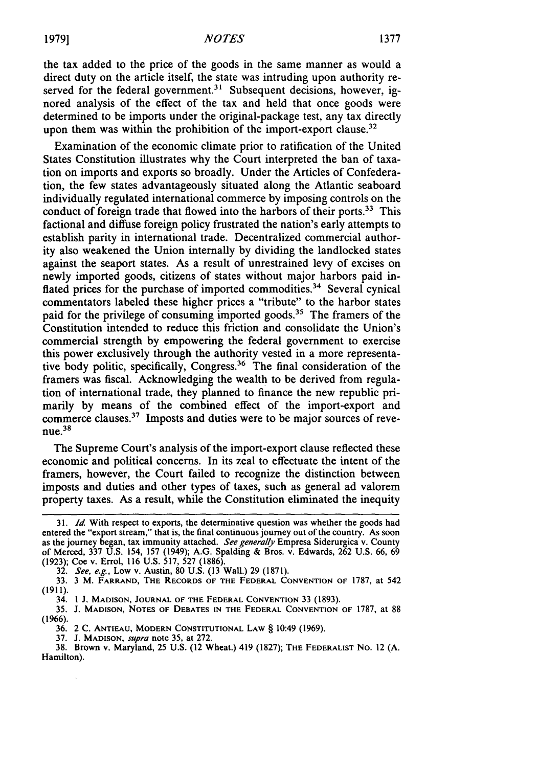the tax added to the price of the goods in the same manner as would a direct duty on the article itself, the state was intruding upon authority reserved for the federal government.<sup>31</sup> Subsequent decisions, however, ignored analysis of the effect of the tax and held that once goods were determined to be imports under the original-package test, any tax directly upon them was within the prohibition of the import-export clause.<sup>32</sup>

Examination of the economic climate prior to ratification of the United States Constitution illustrates why the Court interpreted the ban of taxation on imports and exports so broadly. Under the Articles of Confederation, the few states advantageously situated along the Atlantic seaboard individually regulated international commerce by imposing controls on the conduct of foreign trade that flowed into the harbors of their ports.<sup>33</sup> This factional and diffuse foreign policy frustrated the nation's early attempts to establish parity in international trade. Decentralized commercial authority also weakened the Union internally by dividing the landlocked states against the seaport states. As a result of unrestrained levy of excises on newly imported goods, citizens of states without major harbors paid inflated prices for the purchase of imported commodities.<sup>34</sup> Several cynical commentators labeled these higher prices a "tribute" to the harbor states paid for the privilege of consuming imported goods.<sup>35</sup> The framers of the Constitution intended to reduce this friction and consolidate the Union's commercial strength by empowering the federal government to exercise this power exclusively through the authority vested in a more representative body politic, specifically, Congress.<sup>36</sup> The final consideration of the framers was fiscal. Acknowledging the wealth to be derived from regulation of international trade, they planned to finance the new republic primarily by means of the combined effect of the import-export and commerce clauses.37 Imposts and duties were to be major sources of reve $n$ ue. $38$ 

The Supreme Court's analysis of the import-export clause reflected these economic and political concerns. In its zeal to effectuate the intent of the framers, however, the Court failed to recognize the distinction between imposts and duties and other types of taxes, such as general ad valorem property taxes. As a result, while the Constitution eliminated the inequity

37. J. **MADISON,** *supra* note 35, at 272.

*<sup>31.</sup> Id* With respect to exports, the determinative question was whether the goods had entered the "export stream," that is, the final continuous journey out of the country. As soon as the journey began, tax immunity attached. See generally Empresa Siderurgica v. County of Merced, 337 U.S. 154, 157 (1949); A.G. Spalding & Bros. v. Edwards, 262 U.S. 66, 69 (1923); Coe v. Errol, 116 U.S. 517, 527 (1886).

<sup>32.</sup> See, e.g., Low v. Austin, 80 U.S. (13 Wall.) 29 (1871).

<sup>33.</sup> **3** M. FARRAND, **THE RECORDS** OF **THE FEDERAL CONVENTION** OF 1787, at 542 (1911).

<sup>34.</sup> **1 J. MADISON, JOURNAL OF THE** FEDERAL **CONVENTION** 33 (1893).

**<sup>35.</sup>** J. **MADISON, NOTES OF DEBATES IN THE** FEDERAL **CONVENTION** OF 1787, at 88 (1966).

<sup>36. 2</sup> C. **ANTIEAU,** MODERN **CONSTITUTIONAL** LAW § 10:49 (1969).

<sup>38.</sup> Brown v. Maryland, 25 U.S. (12 Wheat.) 419 (1827); THE FEDERALIST No. 12 (A. Hamilton).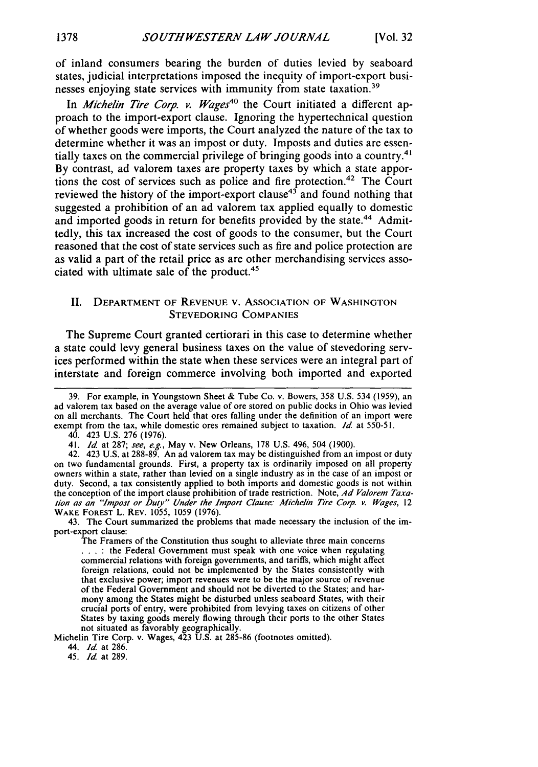of inland consumers bearing the burden of duties levied by seaboard states, judicial interpretations imposed the inequity of import-export businesses enjoying state services with immunity from state taxation.<sup>39</sup>

In *Michelin Tire Corp. v. Wages*<sup>40</sup> the Court initiated a different approach to the import-export clause. Ignoring the hypertechnical question of whether goods were imports, the Court analyzed the nature of the tax to determine whether it was an impost or duty. Imposts and duties are essentially taxes on the commercial privilege of bringing goods into a country.<sup>41</sup> By contrast, ad valorem taxes are property taxes by which a state apportions the cost of services such as police and fire protection.<sup>42</sup> The Court reviewed the history of the import-export clause<sup>43</sup> and found nothing that suggested a prohibition of an ad valorem tax applied equally to domestic and imported goods in return for benefits provided by the state.<sup>44</sup> Admittedly, this tax increased the cost of goods to the consumer, but the Court reasoned that the cost of state services such as fire and police protection are as valid a part of the retail price as are other merchandising services associated with ultimate sale of the product.<sup>45</sup>

#### II. DEPARTMENT OF REVENUE V. ASSOCIATION OF WASHINGTON STEVEDORING COMPANIES

The Supreme Court granted certiorari in this case to determine whether a state could levy general business taxes on the value of stevedoring services performed within the state when these services were an integral part of interstate and foreign commerce involving both imported and exported

43. The Court summarized the problems that made necessary the inclusion of the import-export clause:

Michelin Tire Corp. v. Wages, 423 U.S. at 285-86 (footnotes omitted).

44. *Id* at 286.

45. *Id* at 289.

<sup>39.</sup> For example, in Youngstown Sheet & Tube Co. v. Bowers, **358** U.S. 534 (1959), an ad valorem tax based on the average value of ore stored on public docks in Ohio was levied on all merchants. The Court held that ores falling under the definition of an import were exempt from the tax, while domestic ores remained subject to taxation. **Id.** at 550-51.

<sup>40. 423</sup> U.S. 276 (1976).

<sup>41.</sup> *Id* at 287; see, e.g., May v. New Orleans, 178 U.S. 496, 504 (1900).

<sup>42. 423</sup> U.S. at 288-89. An ad valorem tax may be distinguished from an impost or duty on two fundamental grounds. First, a property tax is ordinarily imposed on all property owners within a state, rather than levied on a single industry as in the case of an impost or duty. Second, a tax consistently applied to both imports and domestic goods is not within the conception of the import clause prohibition of trade restriction. Note, *Ad Valorem Taxation as an "Impost or Duty" Under the Import Clause.-* Michelin Tire Corp. *v. Wages,* 12 WAKE FOREST L. REV. 1055, 1059 (1976).

The Framers of the Constitution thus sought to alleviate three main concerns **:** the Federal Government must speak with one voice when regulating commercial relations with foreign governments, and tariffs, which might affect foreign relations, could not be implemented by the States consistently with that exclusive power; import revenues were to be the major source of revenue of the Federal Government and should not be diverted to the States; and harmony among the States might be disturbed unless seaboard States, with their crucial ports of entry, were prohibited from levying taxes on citizens of other States by taxing goods merely flowing through their ports to the other States not situated as favorably geographically.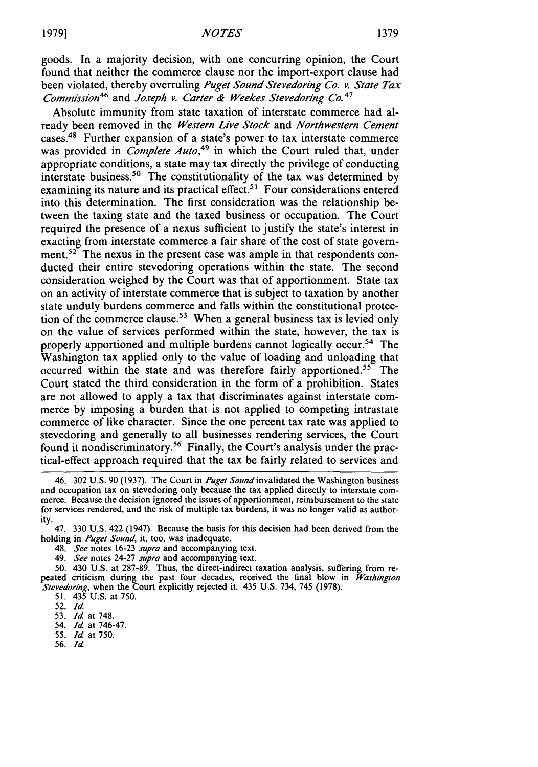goods. In a majority decision, with one concurring opinion, the Court found that neither the commerce clause nor the import-export clause had been violated, thereby overruling *Puget Sound Stevedoring Co. v. State Tax* Commission<sup>46</sup> and *Joseph v. Carter & Weekes Stevedoring Co.<sup>47</sup>* 

Absolute immunity from state taxation of interstate commerce had already been removed in the *Western Live Stock* and *Northwestern Cement* cases.<sup>48</sup> Further expansion of a state's power to tax interstate commerce was provided in *Complete Auto*,<sup>49</sup> in which the Court ruled that, under appropriate conditions, a state may tax directly the privilege of conducting interstate business.<sup>50</sup> The constitutionality of the tax was determined by examining its nature and its practical effect.<sup>51</sup> Four considerations entered into this determination. The first consideration was the relationship between the taxing state and the taxed business or occupation. The Court required the presence of a nexus sufficient to justify the state's interest in exacting from interstate commerce a fair share of the cost of state government.<sup>52</sup> The nexus in the present case was ample in that respondents conducted their entire stevedoring operations within the state. The second consideration weighed by the Court was that of apportionment. State tax on an activity of interstate commerce that is subject to taxation by another state unduly burdens commerce and falls within the constitutional protection of the commerce clause.<sup>53</sup> When a general business tax is levied only on the value of services performed within the state, however, the tax is properly apportioned and multiple burdens cannot logically occur.54 The Washington tax applied only to the value of loading and unloading that occurred within the state and was therefore fairly apportioned.<sup>55</sup> The Court stated the third consideration in the form of a prohibition. States are not allowed to apply a tax that discriminates against interstate commerce by imposing a burden that is not applied to competing intrastate commerce of like character. Since the one percent tax rate was applied to stevedoring and generally to all businesses rendering services, the Court found it nondiscriminatory.<sup>56</sup> Finally, the Court's analysis under the practical-effect approach required that the tax be fairly related to services and

50. 430 U.S. at 287-89. Thus, the direct-indirect taxation analysis, suffering from repeated criticism during the past four decades, received the final blow in *Washington Stevedoring,* when the Court explicitly rejected it. 435 U.S. 734, 745 (1978).

- 55. *Id* at 750.
- **56.** *Id*

<sup>46. 302</sup> U.S. 90 (1937). The Court in *Puget Sound* invalidated the Washington business and occupation tax on stevedoring only because the tax applied directly to interstate commerce. Because the decision ignored the issues of apportionment, reimbursement to the state for services rendered, and the risk of multiple tax burdens, it was no longer valid as authority.

<sup>47. 330</sup> U.S. 422 (1947). Because the basis for this decision had been derived from the holding in Puget Sound, it, too, was inadequate.

<sup>48.</sup> *See* notes 16-23 *supra* and accompanying text.

<sup>49.</sup> *See* notes 24-27 *supra* and accompanying text.

<sup>51. 435</sup> U.S. at 750.

<sup>52.</sup> *Id.*

<sup>53.</sup> *Id* at 748.

<sup>54.</sup> *Id* at 746-47.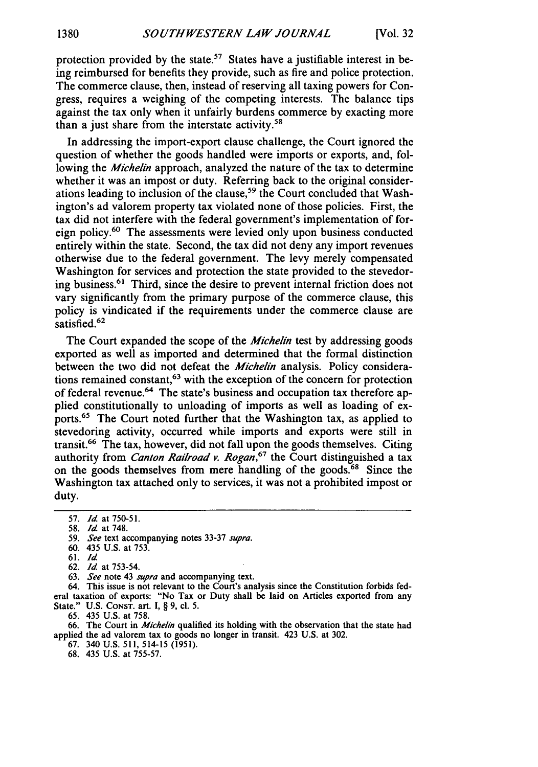protection provided by the state.<sup>57</sup> States have a justifiable interest in being reimbursed for benefits they provide, such as fire and police protection. The commerce clause, then, instead of reserving all taxing powers for Congress, requires a weighing of the competing interests. The balance tips against the tax only when it unfairly burdens commerce **by** exacting more than a just share from the interstate activity.<sup>58</sup>

In addressing the import-export clause challenge, the Court ignored the question of whether the goods handled were imports or exports, and, following the *Michelin* approach, analyzed the nature of the tax to determine whether it was an impost or duty. Referring back to the original considerations leading to inclusion of the clause,<sup>59</sup> the Court concluded that Washington's ad valorem property tax violated none of those policies. First, the tax did not interfere with the federal government's implementation of foreign policy.<sup>60</sup> The assessments were levied only upon business conducted entirely within the state. Second, the tax did not deny any import revenues otherwise due to the federal government. The levy merely compensated Washington for services and protection the state provided to the stevedoring business.<sup>61</sup> Third, since the desire to prevent internal friction does not vary significantly from the primary purpose of the commerce clause, this policy is vindicated if the requirements under the commerce clause are satisfied.<sup>62</sup>

The Court expanded the scope of the *Michelin* test by addressing goods exported as well as imported and determined that the formal distinction between the two did not defeat the *Michelin* analysis. Policy considerations remained constant,<sup>63</sup> with the exception of the concern for protection of federal revenue.<sup>64</sup> The state's business and occupation tax therefore applied constitutionally to unloading of imports as well as loading of exports.65 The Court noted further that the Washington tax, as applied to stevedoring activity, occurred while imports and exports were still in transit.66 The tax, however, did not fall upon the goods themselves. Citing authority from *Canton Railroad v. Rogan*,<sup>67</sup> the Court distinguished a tax on the goods themselves from mere handling of the goods.<sup>68</sup> Since the Washington tax attached only to services, it was not a prohibited impost or duty.

63. *See* note 43 *supra* and accompanying text.

64. This issue is not relevant to the Court's analysis since the Constitution forbids federal taxation of exports: "No Tax or Duty shall be laid on Articles exported from any State." U.S. CONST. art. I, § 9, cl. 5.

65. 435 U.S. at 758.

66. The Court in *Michelin* qualified its holding with the observation that the state had applied the ad valorem tax to goods no longer in transit. 423 U.S. at 302.

- 67. 340 U.S. 511, 514-15 (1951).
- 68. 435 U.S. at 755-57.

<sup>57.</sup> *Id* at **750-51.**

<sup>58.</sup> *Id* at 748.

<sup>59.</sup> *See* text accompanying notes 33-37 supra.

<sup>60. 435</sup> U.S. at 753.

<sup>61.</sup> *Id*

<sup>62.</sup> *Id* at 753-54.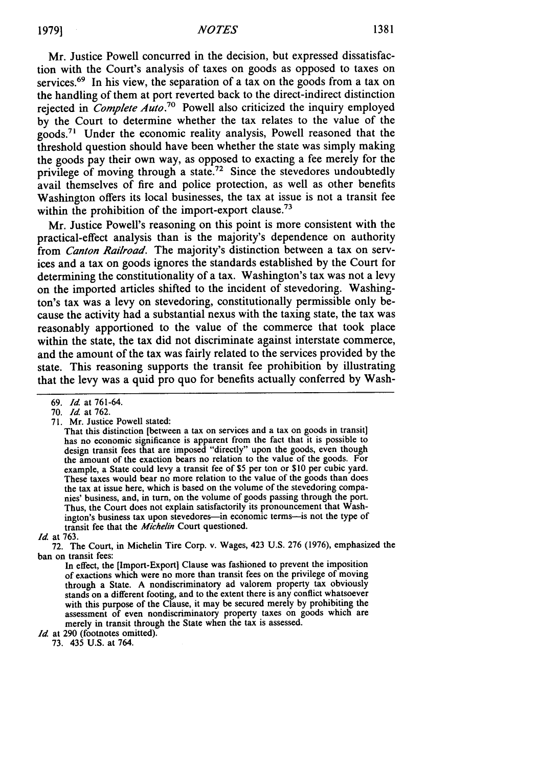Mr. Justice Powell concurred in the decision, but expressed dissatisfaction with the Court's analysis of taxes on goods as opposed to taxes on services.<sup>69</sup> In his view, the separation of a tax on the goods from a tax on the handling of them at port reverted back to the direct-indirect distinction rejected in *Complete Auto*.<sup>70</sup> Powell also criticized the inquiry employed by the Court to determine whether the tax relates to the value of the  $g$ oods.<sup>71</sup> Under the economic reality analysis, Powell reasoned that the threshold question should have been whether the state was simply making the goods pay their own way, as opposed to exacting a fee merely for the privilege of moving through a state.<sup>72</sup> Since the stevedores undoubtedly avail themselves of fire and police protection, as well as other benefits Washington offers its local businesses, the tax at issue is not a transit fee within the prohibition of the import-export clause.<sup>73</sup>

Mr. Justice Powell's reasoning on this point is more consistent with the practical-effect analysis than is the majority's dependence on authority from *Canton Railroad.* The majority's distinction between a tax on services and a tax on goods ignores the standards established by the Court for determining the constitutionality of a tax. Washington's tax was not a levy on the imported articles shifted to the incident of stevedoring. Washington's tax was a levy on stevedoring, constitutionally permissible only because the activity had a substantial nexus with the taxing state, the tax was reasonably apportioned to the value of the commerce that took place within the state, the tax did not discriminate against interstate commerce, and the amount of the tax was fairly related to the services provided by the state. This reasoning supports the transit fee prohibition by illustrating that the levy was a quid pro quo for benefits actually conferred by Wash-

71. Mr. Justice Powell stated:

*Id.* at 290 (footnotes omitted).

73. 435 U.S. at 764.

<sup>69.</sup> *Id* at 761-64.

<sup>70.</sup> *Id* at 762.

That this distinction [between a tax on services and a tax on goods in transit] has no economic significance is apparent from the fact that it is possible to design transit fees that are imposed "directly" upon the goods, even though the amount of the exaction bears no relation to the value of the goods. For example, a State could levy a transit fee of \$5 per ton or \$10 per cubic yard. These taxes would bear no more relation to the value of the goods than does the tax at issue here, which is based on the volume of the stevedoring companies' business, and, in turn, on the volume of goods passing through the port. Thus, the Court does not explain satisfactorily its pronouncement that Washington's business tax upon stevedores-in economic terms-is not the type of transit fee that the *Michelin* Court questioned.

*Id.* at 763.

<sup>72.</sup> The Court, in Michelin Tire Corp. v. Wages, 423 U.S. 276 (1976), emphasized the ban on transit fees:

In effect, the [Import-Export] Clause was fashioned to prevent the imposition of exactions which were no more than transit fees on the privilege of moving through a State. A nondiscriminatory ad valorem property tax obviously stands on a different footing, and to the extent there is any conflict whatsoever with this purpose of the Clause, it may be secured merely by prohibiting the assessment of even nondiscriminatory property taxes on goods which are merely in transit through the State when the tax is assessed.